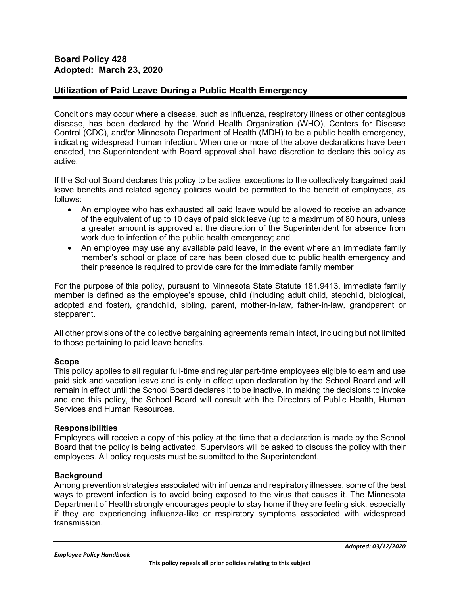### **Utilization of Paid Leave During a Public Health Emergency**

Conditions may occur where a disease, such as influenza, respiratory illness or other contagious disease, has been declared by the World Health Organization (WHO), Centers for Disease Control (CDC), and/or Minnesota Department of Health (MDH) to be a public health emergency, indicating widespread human infection. When one or more of the above declarations have been enacted, the Superintendent with Board approval shall have discretion to declare this policy as active.

If the School Board declares this policy to be active, exceptions to the collectively bargained paid leave benefits and related agency policies would be permitted to the benefit of employees, as follows:

- An employee who has exhausted all paid leave would be allowed to receive an advance of the equivalent of up to 10 days of paid sick leave (up to a maximum of 80 hours, unless a greater amount is approved at the discretion of the Superintendent for absence from work due to infection of the public health emergency; and
- An employee may use any available paid leave, in the event where an immediate family member's school or place of care has been closed due to public health emergency and their presence is required to provide care for the immediate family member

For the purpose of this policy, pursuant to Minnesota State Statute 181.9413, immediate family member is defined as the employee's spouse, child (including adult child, stepchild, biological, adopted and foster), grandchild, sibling, parent, mother-in-law, father-in-law, grandparent or stepparent.

All other provisions of the collective bargaining agreements remain intact, including but not limited to those pertaining to paid leave benefits.

#### **Scope**

This policy applies to all regular full-time and regular part-time employees eligible to earn and use paid sick and vacation leave and is only in effect upon declaration by the School Board and will remain in effect until the School Board declares it to be inactive. In making the decisions to invoke and end this policy, the School Board will consult with the Directors of Public Health, Human Services and Human Resources.

#### **Responsibilities**

Employees will receive a copy of this policy at the time that a declaration is made by the School Board that the policy is being activated. Supervisors will be asked to discuss the policy with their employees. All policy requests must be submitted to the Superintendent.

#### **Background**

Among prevention strategies associated with influenza and respiratory illnesses, some of the best ways to prevent infection is to avoid being exposed to the virus that causes it. The Minnesota Department of Health strongly encourages people to stay home if they are feeling sick, especially if they are experiencing influenza-like or respiratory symptoms associated with widespread transmission.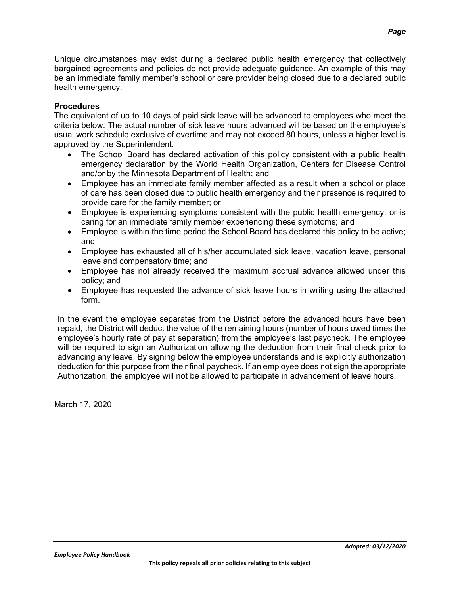Unique circumstances may exist during a declared public health emergency that collectively bargained agreements and policies do not provide adequate guidance. An example of this may be an immediate family member's school or care provider being closed due to a declared public health emergency.

#### **Procedures**

The equivalent of up to 10 days of paid sick leave will be advanced to employees who meet the criteria below. The actual number of sick leave hours advanced will be based on the employee's usual work schedule exclusive of overtime and may not exceed 80 hours, unless a higher level is approved by the Superintendent.

- The School Board has declared activation of this policy consistent with a public health emergency declaration by the World Health Organization, Centers for Disease Control and/or by the Minnesota Department of Health; and
- Employee has an immediate family member affected as a result when a school or place of care has been closed due to public health emergency and their presence is required to provide care for the family member; or
- Employee is experiencing symptoms consistent with the public health emergency, or is caring for an immediate family member experiencing these symptoms; and
- Employee is within the time period the School Board has declared this policy to be active; and
- Employee has exhausted all of his/her accumulated sick leave, vacation leave, personal leave and compensatory time; and
- Employee has not already received the maximum accrual advance allowed under this policy; and
- Employee has requested the advance of sick leave hours in writing using the attached form.

In the event the employee separates from the District before the advanced hours have been repaid, the District will deduct the value of the remaining hours (number of hours owed times the employee's hourly rate of pay at separation) from the employee's last paycheck. The employee will be required to sign an Authorization allowing the deduction from their final check prior to advancing any leave. By signing below the employee understands and is explicitly authorization deduction for this purpose from their final paycheck. If an employee does not sign the appropriate Authorization, the employee will not be allowed to participate in advancement of leave hours.

March 17, 2020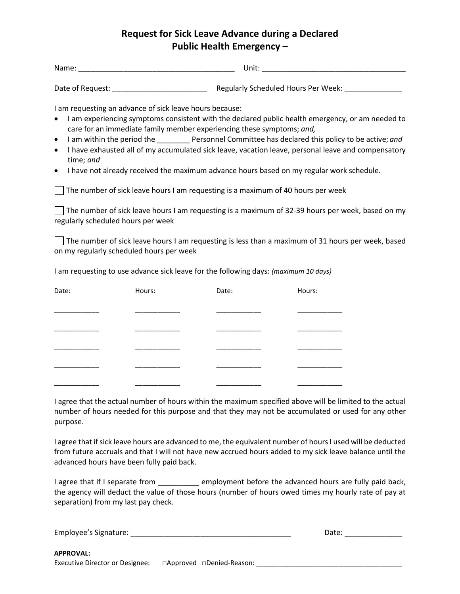# **Request for Sick Leave Advance during a Declared Public Health Emergency –**

| منصرها فا<br>N.<br>ame:<br>_____ | .<br>unit: |
|----------------------------------|------------|
|                                  |            |

Date of Request: \_\_\_\_\_\_\_\_\_\_\_\_\_\_\_\_\_\_\_\_\_\_\_ Regularly Scheduled Hours Per Week: \_\_\_\_\_\_\_\_\_\_\_\_\_\_

I am requesting an advance of sick leave hours because:

- I am experiencing symptoms consistent with the declared public health emergency, or am needed to care for an immediate family member experiencing these symptoms; *and,*
- I am within the period the **Personnel Committee has declared this policy to be active;** and
- I have exhausted all of my accumulated sick leave, vacation leave, personal leave and compensatory time; *and*
- I have not already received the maximum advance hours based on my regular work schedule.

 $\Box$  The number of sick leave hours I am requesting is a maximum of 40 hours per week

 $\Box$  The number of sick leave hours I am requesting is a maximum of 32-39 hours per week, based on my regularly scheduled hours per week

 $\vert \ \vert$  The number of sick leave hours I am requesting is less than a maximum of 31 hours per week, based on my regularly scheduled hours per week

I am requesting to use advance sick leave for the following days: *(maximum 10 days)*

| Date: | Hours: | Date: | Hours: |
|-------|--------|-------|--------|
|       |        |       |        |
|       |        |       |        |
|       |        |       |        |
|       |        |       |        |
|       |        |       |        |
|       |        |       |        |

I agree that the actual number of hours within the maximum specified above will be limited to the actual number of hours needed for this purpose and that they may not be accumulated or used for any other purpose.

I agree that if sick leave hours are advanced to me, the equivalent number of hours I used will be deducted from future accruals and that I will not have new accrued hours added to my sick leave balance until the advanced hours have been fully paid back.

I agree that if I separate from \_\_\_\_\_\_\_\_\_\_\_ employment before the advanced hours are fully paid back, the agency will deduct the value of those hours (number of hours owed times my hourly rate of pay at separation) from my last pay check.

| Employee's Signature:                  | Date:                                 |  |  |
|----------------------------------------|---------------------------------------|--|--|
|                                        |                                       |  |  |
| <b>APPROVAL:</b>                       |                                       |  |  |
| <b>Executive Director or Designee:</b> | $\Box$ Approved $\Box$ Denied-Reason: |  |  |